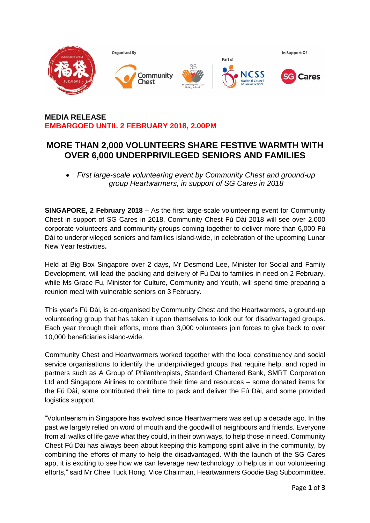

# **MEDIA RELEASE EMBARGOED UNTIL 2 FEBRUARY 2018, 2.00PM**

# **MORE THAN 2,000 VOLUNTEERS SHARE FESTIVE WARMTH WITH OVER 6,000 UNDERPRIVILEGED SENIORS AND FAMILIES**

 *First large-scale volunteering event by Community Chest and ground-up group Heartwarmers, in support of SG Cares in 2018*

**SINGAPORE, 2 February 2018 –** As the first large-scale volunteering event for Community Chest in support of SG Cares in 2018, Community Chest Fú Dài 2018 will see over 2,000 corporate volunteers and community groups coming together to deliver more than 6,000 Fú Dài to underprivileged seniors and families island-wide, in celebration of the upcoming Lunar New Year festivities**.** 

Held at Big Box Singapore over 2 days, Mr Desmond Lee, Minister for Social and Family Development, will lead the packing and delivery of Fú Dài to families in need on 2 February, while Ms Grace Fu, Minister for Culture, Community and Youth, will spend time preparing a reunion meal with vulnerable seniors on 3 February.

This year's Fú Dài, is co-organised by Community Chest and the Heartwarmers, a ground-up volunteering group that has taken it upon themselves to look out for disadvantaged groups. Each year through their efforts, more than 3,000 volunteers join forces to give back to over 10,000 beneficiaries island-wide.

Community Chest and Heartwarmers worked together with the local constituency and social service organisations to identify the underprivileged groups that require help, and roped in partners such as A Group of Philanthropists, Standard Chartered Bank, SMRT Corporation Ltd and Singapore Airlines to contribute their time and resources – some donated items for the Fú Dài, some contributed their time to pack and deliver the Fú Dài, and some provided logistics support.

"Volunteerism in Singapore has evolved since Heartwarmers was set up a decade ago. In the past we largely relied on word of mouth and the goodwill of neighbours and friends. Everyone from all walks of life gave what they could, in their own ways, to help those in need. Community Chest Fú Dài has always been about keeping this kampong spirit alive in the community, by combining the efforts of many to help the disadvantaged. With the launch of the SG Cares app, it is exciting to see how we can leverage new technology to help us in our volunteering efforts," said Mr Chee Tuck Hong, Vice Chairman, Heartwarmers Goodie Bag Subcommittee.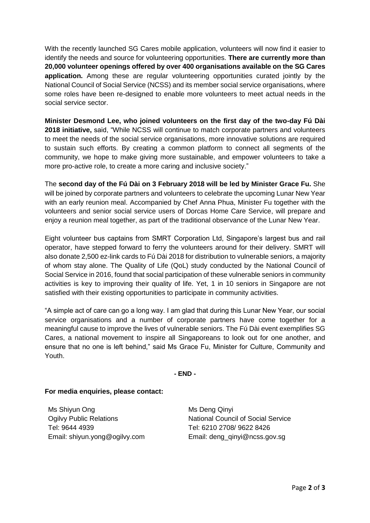With the recently launched SG Cares mobile application, volunteers will now find it easier to identify the needs and source for volunteering opportunities. **There are currently more than 20,000 volunteer openings offered by over 400 organisations available on the SG Cares application.** Among these are regular volunteering opportunities curated jointly by the National Council of Social Service (NCSS) and its member social service organisations, where some roles have been re-designed to enable more volunteers to meet actual needs in the social service sector.

**Minister Desmond Lee, who joined volunteers on the first day of the two-day Fú Dài 2018 initiative,** said, "While NCSS will continue to match corporate partners and volunteers to meet the needs of the social service organisations, more innovative solutions are required to sustain such efforts. By creating a common platform to connect all segments of the community, we hope to make giving more sustainable, and empower volunteers to take a more pro-active role, to create a more caring and inclusive society."

The **second day of the Fú Dài on 3 February 2018 will be led by Minister Grace Fu.** She will be joined by corporate partners and volunteers to celebrate the upcoming Lunar New Year with an early reunion meal. Accompanied by Chef Anna Phua, Minister Fu together with the volunteers and senior social service users of Dorcas Home Care Service, will prepare and enjoy a reunion meal together, as part of the traditional observance of the Lunar New Year.

Eight volunteer bus captains from SMRT Corporation Ltd, Singapore's largest bus and rail operator, have stepped forward to ferry the volunteers around for their delivery. SMRT will also donate 2,500 ez-link cards to Fú Dài 2018 for distribution to vulnerable seniors, a majority of whom stay alone. The Quality of Life (QoL) study conducted by the National Council of Social Service in 2016, found that social participation of these vulnerable seniors in community activities is key to improving their quality of life. Yet, 1 in 10 seniors in Singapore are not satisfied with their existing opportunities to participate in community activities.

"A simple act of care can go a long way. I am glad that during this Lunar New Year, our social service organisations and a number of corporate partners have come together for a meaningful cause to improve the lives of vulnerable seniors. The Fú Dài event exemplifies SG Cares, a national movement to inspire all Singaporeans to look out for one another, and ensure that no one is left behind," said Ms Grace Fu, Minister for Culture, Community and Youth.

#### **- END -**

#### **For media enquiries, please contact:**

Ms Shiyun Ong Ogilvy Public Relations Tel: 9644 4939 Email: shiyun.yong@ogilvy.com Ms Deng Qinyi National Council of Social Service Tel: 6210 2708/ 9622 8426 Email: [deng\\_qinyi@ncss.gov.sg](mailto:deng_qinyi@ncss.gov.sg)